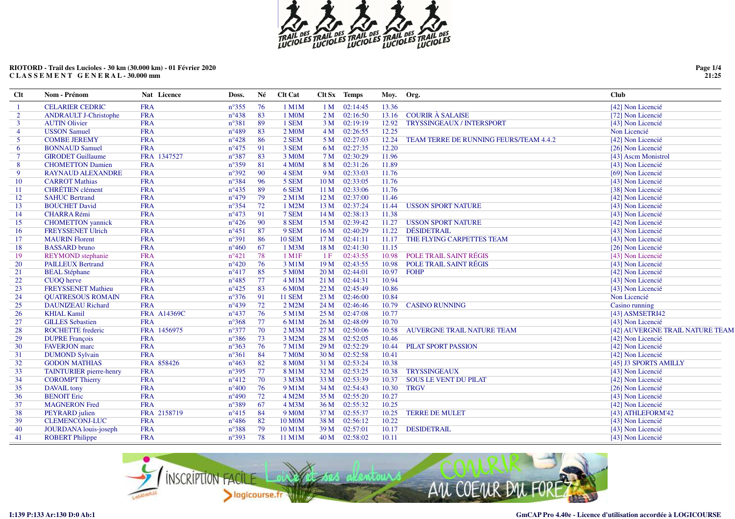

| $Cl$ t         | Nom - Prénom                 | Nat Licence        | Doss.          | Né | Clt Cat            |                 | Clt Sx Temps   | Moy.  | Org.                                   | <b>Club</b>                     |
|----------------|------------------------------|--------------------|----------------|----|--------------------|-----------------|----------------|-------|----------------------------------------|---------------------------------|
|                | <b>CELARIER CEDRIC</b>       | <b>FRA</b>         | $n^{\circ}355$ | 76 | 1 M1M              | 1 <sub>M</sub>  | 02:14:45       | 13.36 |                                        | [42] Non Licencié               |
| 2              | <b>ANDRAULT J-Christophe</b> | <b>FRA</b>         | $n^{\circ}438$ | 83 | 1 M0M              |                 | $2 M$ 02:16:50 | 13.16 | <b>COURIR À SALAISE</b>                | [72] Non Licencié               |
| $\mathbf{3}$   | <b>AUTIN Olivier</b>         | <b>FRA</b>         | $n^{\circ}381$ | 89 | 1 SEM              |                 | 3 M 02:19:19   | 12.92 | <b>TRYSSINGEAUX / INTERSPORT</b>       | [43] Non Licencié               |
| $\overline{4}$ | <b>USSON Samuel</b>          | <b>FRA</b>         | $n^{\circ}489$ | 83 | 2 M <sub>0</sub> M | 4 M             | 02:26:55       | 12.25 |                                        | Non Licencié                    |
| 5              | <b>COMBE JEREMY</b>          | <b>FRA</b>         | $n^{\circ}428$ | 86 | 2 SEM              | 5 M             | 02:27:03       | 12.24 | TEAM TERRE DE RUNNING FEURS/TEAM 4.4.2 | [42] Non Licencié               |
| 6              | <b>BONNAUD Samuel</b>        | <b>FRA</b>         | $n^{\circ}475$ | 91 | 3 SEM              | 6 M             | 02:27:35       | 12.20 |                                        | [26] Non Licencié               |
| $\tau$         | <b>GIRODET Guillaume</b>     | FRA 1347527        | $n^{\circ}387$ | 83 | 3 M <sub>0</sub> M | 7 M             | 02:30:29       | 11.96 |                                        | [43] Ascm Monistrol             |
| 8              | <b>CHOMETTON Damien</b>      | <b>FRA</b>         | $n^{\circ}359$ | 81 | 4 M <sub>0</sub> M | 8 M             | 02:31:26       | 11.89 |                                        | [43] Non Licencié               |
| 9              | <b>RAYNAUD ALEXANDRE</b>     | <b>FRA</b>         | $n^{\circ}392$ | 90 | 4 SEM              | 9 M             | 02:33:03       | 11.76 |                                        | [69] Non Licencié               |
| 10             | <b>CARROT Mathias</b>        | <b>FRA</b>         | $n^{\circ}384$ | 96 | 5 SEM              | 10 <sub>M</sub> | 02:33:05       | 11.76 |                                        | [43] Non Licencié               |
| 11             | <b>CHRÉTIEN</b> clément      | <b>FRA</b>         | $n^{\circ}435$ | 89 | 6 SEM              | 11 <sub>M</sub> | 02:33:06       | 11.76 |                                        | [38] Non Licencié               |
| 12             | <b>SAHUC Bertrand</b>        | <b>FRA</b>         | $n^{\circ}479$ | 79 | $2$ M1M            | 12M             | 02:37:00       | 11.46 |                                        | [42] Non Licencié               |
| 13             | <b>BOUCHET David</b>         | <b>FRA</b>         | $n^{\circ}354$ | 72 | 1 M2M              | 13 M            | 02:37:24       | 11.44 | <b>USSON SPORT NATURE</b>              | [43] Non Licencié               |
| 14             | <b>CHARRA Rémi</b>           | <b>FRA</b>         | $n^{\circ}473$ | 91 | 7 SEM              | 14M             | 02:38:13       | 11.38 |                                        | [43] Non Licencié               |
| 15             | <b>CHOMETTON</b> yannick     | <b>FRA</b>         | $n^{\circ}426$ | 90 | 8 SEM              | 15 <sub>M</sub> | 02:39:42       | 11.27 | <b>USSON SPORT NATURE</b>              | [42] Non Licencié               |
| 16             | FREYSSENET Ulrich            | <b>FRA</b>         | $n^{\circ}451$ | 87 | 9 SEM              | 16M             | 02:40:29       | 11.22 | <b>DÉSIDETRAIL</b>                     | [43] Non Licencié               |
| 17             | <b>MAURIN</b> Florent        | <b>FRA</b>         | $n^{\circ}391$ | 86 | <b>10 SEM</b>      | 17 <sub>M</sub> | 02:41:11       | 11.17 | THE FLYING CARPETTES TEAM              | [43] Non Licencié               |
| 18             | <b>BASSARD</b> bruno         | <b>FRA</b>         | $n^{\circ}460$ | 67 | 1 M3M              | 18 M            | 02:41:30       | 11.15 |                                        | [26] Non Licencié               |
| 19             | <b>REYMOND</b> stephanie     | <b>FRA</b>         | $n^{\circ}421$ | 78 | $1$ M $1$ F        | 1F              | 02:43:55       | 10.98 | POLE TRAIL SAINT RÉGIS                 | [43] Non Licencié               |
| 20             | <b>PAILLEUX Bertrand</b>     | <b>FRA</b>         | $n^{\circ}420$ | 76 | 3 M1M              | 19 M            | 02:43:55       | 10.98 | POLE TRAIL SAINT RÉGIS                 | [43] Non Licencié               |
| 21             | <b>BEAL Stéphane</b>         | <b>FRA</b>         | $n^{\circ}417$ | 85 | 5 M <sub>0</sub> M | 20 <sub>M</sub> | 02:44:01       | 10.97 | <b>FOHP</b>                            | [42] Non Licencié               |
| 22             | CUOQ herve                   | <b>FRA</b>         | $n^{\circ}485$ | 77 | $4$ M $1$ M        | 21 M            | 02:44:31       | 10.94 |                                        | [43] Non Licencié               |
| 23             | <b>FREYSSENET Mathieu</b>    | <b>FRA</b>         | $n^{\circ}425$ | 83 | 6 M <sub>0</sub> M | 22M             | 02:45:49       | 10.86 |                                        | [43] Non Licencié               |
| 24             | <b>OUATRESOUS ROMAIN</b>     | <b>FRA</b>         | $n^{\circ}376$ | 91 | <b>11 SEM</b>      | 23M             | 02:46:00       | 10.84 |                                        | Non Licencié                    |
| 25             | <b>DAUNIZEAU Richard</b>     | <b>FRA</b>         | $n^{\circ}439$ | 72 | $2$ M2M            | 24 M            | 02:46:46       | 10.79 | <b>CASINO RUNNING</b>                  | Casino running                  |
| 26             | <b>KHIAL Kamil</b>           | <b>FRA A14369C</b> | $n^{\circ}437$ | 76 | 5 M1M              |                 | 25 M 02:47:08  | 10.77 |                                        | [43] ASMSETRI42                 |
| 27             | <b>GILLES</b> Sebastien      | <b>FRA</b>         | $n^{\circ}368$ | 77 | 6 M1M              | 26 M            | 02:48:09       | 10.70 |                                        | [43] Non Licencié               |
| 28             | <b>ROCHETTE</b> frederic     | FRA 1456975        | $n^{\circ}377$ | 70 | 2 M3M              | 27 M            | 02:50:06       | 10.58 | AUVERGNE TRAIL NATURE TEAM             | [42] AUVERGNE TRAIL NATURE TEAM |
| 29             | <b>DUPRE François</b>        | <b>FRA</b>         | $n^{\circ}386$ | 73 | 3 M2M              | 28 M            | 02:52:05       | 10.46 |                                        | [42] Non Licencié               |
| 30             | <b>FAVERJON</b> marc         | <b>FRA</b>         | $n^{\circ}363$ | 76 | 7 M1M              | 29 M            | 02:52:29       | 10.44 | PILAT SPORT PASSION                    | [42] Non Licencié               |
| 31             | <b>DUMOND Sylvain</b>        | <b>FRA</b>         | $n^{\circ}361$ | 84 | <b>7 M0M</b>       | 30 M            | 02:52:58       | 10.41 |                                        | [42] Non Licencié               |
| 32             | <b>GODON MATHIAS</b>         | FRA 858426         | $n^{\circ}463$ | 82 | <b>8 MOM</b>       | 31 <sub>M</sub> | 02:53:24       | 10.38 |                                        | [45] J3 SPORTS AMILLY           |
| 33             | TAINTURIER pierre-henry      | <b>FRA</b>         | $n^{\circ}395$ | 77 | 8 M1M              | 32 M            | 02:53:25       | 10.38 | <b>TRYSSINGEAUX</b>                    | [43] Non Licencié               |
| 34             | <b>COROMPT Thierry</b>       | <b>FRA</b>         | $n^{\circ}412$ | 70 | 3 M3M              |                 | 33 M 02:53:39  | 10.37 | <b>SOUS LE VENT DU PILAT</b>           | [42] Non Licencié               |
| 35             | <b>DAVAIL</b> tony           | <b>FRA</b>         | $n^{\circ}400$ | 76 | 9 M1M              | 34 M            | 02:54:43       | 10.30 | <b>TRGV</b>                            | [26] Non Licencié               |
| 36             | <b>BENOIT Eric</b>           | <b>FRA</b>         | $n^{\circ}490$ | 72 | 4 M2M              |                 | 35 M 02:55:20  | 10.27 |                                        | [43] Non Licencié               |
| 37             | <b>MAGNERON</b> Fred         | <b>FRA</b>         | $n^{\circ}389$ | 67 | 4 M3M              | 36 M            | 02:55:32       | 10.25 |                                        | [42] Non Licencié               |
| 38             | PEYRARD julien               | FRA 2158719        | $n^{\circ}415$ | 84 | 9 M <sub>0</sub> M |                 | 37 M 02:55:37  | 10.25 | <b>TERRE DE MULET</b>                  | [43] ATHLEFORM'42               |
| 39             | <b>CLEMENCONJ-LUC</b>        | <b>FRA</b>         | $n^{\circ}486$ | 82 | 10 M0M             | 38 M            | 02:56:12       | 10.22 |                                        | [43] Non Licencié               |
| 40             | JOURDANA louis-joseph        | <b>FRA</b>         | $n^{\circ}388$ | 79 | 10 M1M             | 39 M            | 02:57:01       | 10.17 | <b>DESIDETRAIL</b>                     | [43] Non Licencié               |
| 41             | <b>ROBERT Philippe</b>       | <b>FRA</b>         | $n^{\circ}393$ | 78 | 11 M1M             | 40 M            | 02:58:02       | 10.11 |                                        | [43] Non Licencié               |
|                |                              |                    |                |    |                    |                 |                |       |                                        |                                 |

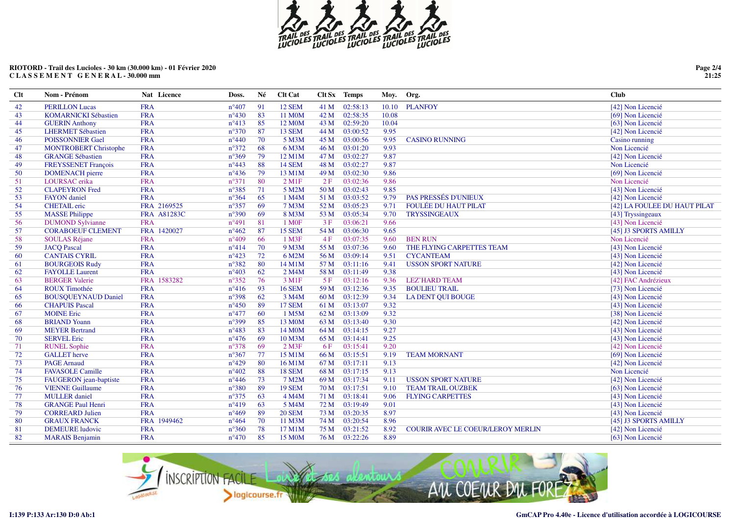

| $Cl$ | Nom - Prénom                 | Nat Licence | Doss.          | Né | Clt Cat                |      | Clt Sx Temps | Moy.  | Org.                                     | <b>Club</b>                  |
|------|------------------------------|-------------|----------------|----|------------------------|------|--------------|-------|------------------------------------------|------------------------------|
| 42   | <b>PERILLON Lucas</b>        | <b>FRA</b>  | $n^{\circ}407$ | 91 | 12 SEM                 | 41 M | 02:58:13     | 10.10 | <b>PLANFOY</b>                           | [42] Non Licencié            |
| 43   | <b>KOMARNICKI Sébastien</b>  | <b>FRA</b>  | $n^{\circ}430$ | 83 | 11 M0M                 | 42 M | 02:58:35     | 10.08 |                                          | [69] Non Licencié            |
| 44   | <b>GUERIN Anthony</b>        | <b>FRA</b>  | $n^{\circ}413$ | 85 | 12 M <sub>0</sub> M    | 43 M | 02:59:20     | 10.04 |                                          | [63] Non Licencié            |
| 45   | <b>LHERMET Sébastien</b>     | <b>FRA</b>  | $n^{\circ}370$ | 87 | 13 SEM                 | 44 M | 03:00:52     | 9.95  |                                          | [42] Non Licencié            |
| 46   | <b>POISSONNIER Gael</b>      | <b>FRA</b>  | $n^{\circ}440$ | 70 | 5 M3M                  | 45 M | 03:00:56     | 9.95  | <b>CASINO RUNNING</b>                    | Casino running               |
| 47   | <b>MONTROBERT Christophe</b> | <b>FRA</b>  | $n^{\circ}372$ | 68 | 6 M3M                  | 46 M | 03:01:20     | 9.93  |                                          | Non Licencié                 |
| 48   | <b>GRANGE Sébastien</b>      | <b>FRA</b>  | $n^{\circ}369$ | 79 | 12 M1M                 | 47 M | 03:02:27     | 9.87  |                                          | [42] Non Licencié            |
| 49   | FREYSSENET François          | <b>FRA</b>  | $n^{\circ}443$ | 88 | <b>14 SEM</b>          | 48 M | 03:02:27     | 9.87  |                                          | Non Licencié                 |
| 50   | <b>DOMENACH</b> pierre       | <b>FRA</b>  | $n^{\circ}436$ | 79 | 13 M1M                 | 49 M | 03:02:30     | 9.86  |                                          | [69] Non Licencié            |
| 51   | LOURSAC erika                | <b>FRA</b>  | $n^{\circ}371$ | 80 | $2$ M <sub>1</sub> $F$ | 2F   | 03:02:36     | 9.86  |                                          | Non Licencié                 |
| 52   | <b>CLAPEYRON</b> Fred        | <b>FRA</b>  | $n^{\circ}385$ | 71 | 5 M2M                  | 50 M | 03:02:43     | 9.85  |                                          | [43] Non Licencié            |
| 53   | <b>FAYON</b> daniel          | <b>FRA</b>  | $n^{\circ}364$ | 65 | 1 M4M                  | 51 M | 03:03:52     | 9.79  | PAS PRESSÉS D'UNIEUX                     | [42] Non Licencié            |
| 54   | <b>CHETAIL</b> eric          | FRA 2169525 | $n^{\circ}357$ | 69 | 7 M3M                  | 52 M | 03:05:23     | 9.71  | <b>FOULÉE DU HAUT PILAT</b>              | [42] LA FOULEE DU HAUT PILAT |
| 55   | <b>MASSE Philippe</b>        | FRA A81283C | $n^{\circ}390$ | 69 | 8 M3M                  | 53 M | 03:05:34     | 9.70  | <b>TRYSSINGEAUX</b>                      | [43] Tryssingeaux            |
| 56   | <b>DUMOND Sylvianne</b>      | <b>FRA</b>  | $n^{\circ}491$ | 81 | 1 M <sub>OF</sub>      | 3F   | 03:06:21     | 9.66  |                                          | [43] Non Licencié            |
| 57   | <b>CORABOEUF CLEMENT</b>     | FRA 1420027 | $n^{\circ}462$ | 87 | 15 SEM                 | 54 M | 03:06:30     | 9.65  |                                          | [45] J3 SPORTS AMILLY        |
| 58   | <b>SOULAS Réjane</b>         | <b>FRA</b>  | $n^{\circ}409$ | 66 | 1 M3F                  | 4F   | 03:07:35     | 9.60  | <b>BEN RUN</b>                           | Non Licencié                 |
| 59   | <b>JACQ Pascal</b>           | <b>FRA</b>  | $n^{\circ}414$ | 70 | 9 M3M                  | 55 M | 03:07:36     | 9.60  | THE FLYING CARPETTES TEAM                | [43] Non Licencié            |
| 60   | <b>CANTAIS CYRIL</b>         | <b>FRA</b>  | $n^{\circ}423$ | 72 | 6 M2M                  | 56 M | 03:09:14     | 9.51  | <b>CYCANTEAM</b>                         | [43] Non Licencié            |
| 61   | <b>BOURGEOIS Rudy</b>        | <b>FRA</b>  | $n^{\circ}382$ | 80 | 14 M1M                 | 57 M | 03:11:16     | 9.41  | <b>USSON SPORT NATURE</b>                | [42] Non Licencié            |
| 62   | <b>FAYOLLE Laurent</b>       | <b>FRA</b>  | $n^{\circ}403$ | 62 | 2 M4M                  | 58 M | 03:11:49     | 9.38  |                                          | [43] Non Licencié            |
| 63   | <b>BERGER Valerie</b>        | FRA 1583282 | $n^{\circ}352$ | 76 | 3 M1F                  | 5F   | 03:12:16     | 9.36  | <b>LEZ'HARD TEAM</b>                     | [42] FAC Andrézieux          |
| 64   | <b>ROUX Timothée</b>         | <b>FRA</b>  | $n^{\circ}416$ | 93 | <b>16 SEM</b>          | 59 M | 03:12:36     | 9.35  | <b>BOULIEU TRAIL</b>                     | [73] Non Licencié            |
| 65   | <b>BOUSQUEYNAUD Daniel</b>   | <b>FRA</b>  | $n^{\circ}398$ | 62 | 3 M4M                  | 60 M | 03:12:39     | 9.34  | <b>LA DENT QUI BOUGE</b>                 | [43] Non Licencié            |
| 66   | <b>CHAPUIS Pascal</b>        | <b>FRA</b>  | $n^{\circ}450$ | 89 | <b>17 SEM</b>          | 61 M | 03:13:07     | 9.32  |                                          | [43] Non Licencié            |
| 67   | <b>MOINE</b> Eric            | <b>FRA</b>  | $n^{\circ}477$ | 60 | 1 M5M                  | 62 M | 03:13:09     | 9.32  |                                          | [38] Non Licencié            |
| 68   | <b>BRIAND Yoann</b>          | <b>FRA</b>  | $n^{\circ}399$ | 85 | 13 M0M                 | 63 M | 03:13:40     | 9.30  |                                          | [42] Non Licencié            |
| 69   | <b>MEYER Bertrand</b>        | <b>FRA</b>  | $n^{\circ}483$ | 83 | 14 M <sub>0</sub> M    | 64 M | 03:14:15     | 9.27  |                                          | [43] Non Licencié            |
| 70   | <b>SERVEL Eric</b>           | <b>FRA</b>  | $n^{\circ}476$ | 69 | 10 M3M                 | 65 M | 03:14:41     | 9.25  |                                          | [43] Non Licencié            |
| 71   | <b>RUNEL Sophie</b>          | <b>FRA</b>  | $n^{\circ}378$ | 69 | $2$ M3F                | 6F   | 03:15:41     | 9.20  |                                          | [42] Non Licencié            |
| 72   | <b>GALLET</b> herve          | <b>FRA</b>  | $n^{\circ}367$ | 77 | 15 M1M                 | 66 M | 03:15:51     | 9.19  | <b>TEAM MORNANT</b>                      | [69] Non Licencié            |
| 73   | <b>PAGE</b> Arnaud           | <b>FRA</b>  | $n^{\circ}429$ | 80 | 16 M1M                 | 67 M | 03:17:11     | 9.13  |                                          | [42] Non Licencié            |
| 74   | <b>FAVASOLE Camille</b>      | <b>FRA</b>  | $n^{\circ}402$ | 88 | <b>18 SEM</b>          | 68 M | 03:17:15     | 9.13  |                                          | Non Licencié                 |
| 75   | FAUGERON jean-baptiste       | <b>FRA</b>  | $n^{\circ}446$ | 73 | 7 M2M                  | 69 M | 03:17:34     | 9.11  | <b>USSON SPORT NATURE</b>                | [42] Non Licencié            |
| 76   | <b>VIENNE Guillaume</b>      | <b>FRA</b>  | $n^{\circ}380$ | 89 | <b>19 SEM</b>          | 70 M | 03:17:51     | 9.10  | <b>TEAM TRAIL OUZBEK</b>                 | [63] Non Licencié            |
| 77   | <b>MULLER</b> daniel         | <b>FRA</b>  | $n^{\circ}375$ | 63 | 4 M4M                  | 71 M | 03:18:41     | 9.06  | <b>FLYING CARPETTES</b>                  | [43] Non Licencié            |
| 78   | <b>GRANGE Paul Henri</b>     | <b>FRA</b>  | $n^{\circ}419$ | 63 | 5 M4M                  | 72 M | 03:19:49     | 9.01  |                                          | [43] Non Licencié            |
| 79   | <b>CORREARD Julien</b>       | <b>FRA</b>  | $n^{\circ}469$ | 89 | <b>20 SEM</b>          | 73 M | 03:20:35     | 8.97  |                                          | [43] Non Licencié            |
| 80   | <b>GRAUX FRANCK</b>          | FRA 1949462 | $n^{\circ}464$ | 70 | 11 M3M                 | 74 M | 03:20:54     | 8.96  |                                          | [45] J3 SPORTS AMILLY        |
| 81   | <b>DEMEURE</b> ludovic       | <b>FRA</b>  | $n^{\circ}360$ | 78 | 17 M1M                 | 75 M | 03:21:52     | 8.92  | <b>COURIR AVEC LE COEUR/LEROY MERLIN</b> | [42] Non Licencié            |
| 82   | <b>MARAIS</b> Benjamin       | <b>FRA</b>  | $n^{\circ}470$ | 85 | 15 M <sub>0</sub> M    | 76 M | 03:22:26     | 8.89  |                                          | [63] Non Licencié            |



**Page 2/4 21:25**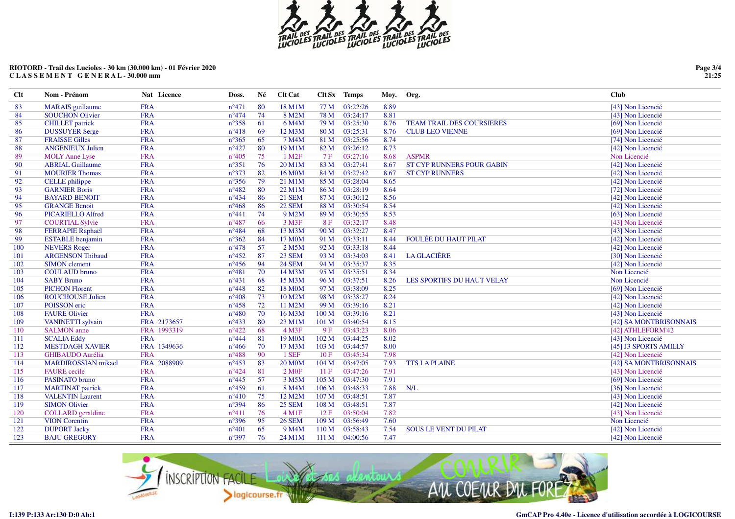

| $Cl$ | Nom - Prénom             | Nat Licence | Doss.          | Né | Clt Cat              |                  | Clt Sx Temps | Moy. | Org.                             | <b>Club</b>            |
|------|--------------------------|-------------|----------------|----|----------------------|------------------|--------------|------|----------------------------------|------------------------|
| 83   | <b>MARAIS</b> guillaume  | <b>FRA</b>  | $n^{\circ}471$ | 80 | 18 M1M               | 77 M             | 03:22:26     | 8.89 |                                  | [43] Non Licencié      |
| 84   | <b>SOUCHON Olivier</b>   | <b>FRA</b>  | $n^{\circ}474$ | 74 | 8 M2M                | 78 M             | 03:24:17     | 8.81 |                                  | [43] Non Licencié      |
| 85   | <b>CHILLET</b> patrick   | <b>FRA</b>  | $n^{\circ}358$ | 61 | 6 M4M                | 79 M             | 03:25:30     | 8.76 | <b>TEAM TRAIL DES COURSIERES</b> | [69] Non Licencié      |
| 86   | <b>DUSSUYER Serge</b>    | <b>FRA</b>  | $n^{\circ}418$ | 69 | 12 M3M               | 80 M             | 03:25:31     | 8.76 | <b>CLUB LEO VIENNE</b>           | [69] Non Licencié      |
| 87   | <b>FRAISSE Gilles</b>    | <b>FRA</b>  | $n^{\circ}365$ | 65 | 7 M4M                | 81 M             | 03:25:56     | 8.74 |                                  | [74] Non Licencié      |
| 88   | <b>ANGENIEUX Julien</b>  | <b>FRA</b>  | $n^{\circ}427$ | 80 | 19 M1M               | 82 M             | 03:26:12     | 8.73 |                                  | [42] Non Licencié      |
| 89   | <b>MOLY Anne Lyse</b>    | <b>FRA</b>  | $n^{\circ}405$ | 75 | 1 M <sub>2F</sub>    | 7F               | 03:27:16     | 8.68 | <b>ASPMR</b>                     | Non Licencié           |
| 90   | <b>ABRIAL Guillaume</b>  | <b>FRA</b>  | $n^{\circ}351$ | 76 | 20 M1M               | 83 M             | 03:27:41     | 8.67 | <b>ST CYP RUNNERS POUR GABIN</b> | [42] Non Licencié      |
| 91   | <b>MOURIER Thomas</b>    | <b>FRA</b>  | $n^{\circ}373$ | 82 | 16 M <sub>0</sub> M  | 84 M             | 03:27:42     | 8.67 | <b>ST CYP RUNNERS</b>            | [42] Non Licencié      |
| 92   | CELLE philippe           | <b>FRA</b>  | $n^{\circ}356$ | 79 | 21 M1M               | 85 M             | 03:28:04     | 8.65 |                                  | [42] Non Licencié      |
| 93   | <b>GARNIER Boris</b>     | <b>FRA</b>  | $n^{\circ}482$ | 80 | 22 M1M               | 86 M             | 03:28:19     | 8.64 |                                  | [72] Non Licencié      |
| 94   | <b>BAYARD BENOIT</b>     | <b>FRA</b>  | $n^{\circ}434$ | 86 | <b>21 SEM</b>        | 87 M             | 03:30:12     | 8.56 |                                  | [42] Non Licencié      |
| 95   | <b>GRANGE Benoit</b>     | <b>FRA</b>  | $n^{\circ}468$ | 86 | <b>22 SEM</b>        | 88 M             | 03:30:54     | 8.54 |                                  | [42] Non Licencié      |
| 96   | <b>PICARIELLO Alfred</b> | <b>FRA</b>  | $n^{\circ}441$ | 74 | 9 M2M                | 89 M             | 03:30:55     | 8.53 |                                  | [63] Non Licencié      |
| 97   | <b>COURTIAL Sylvie</b>   | <b>FRA</b>  | $n^{\circ}487$ | 66 | 3 M3F                | 8F               | 03:32:17     | 8.48 |                                  | [43] Non Licencié      |
| 98   | <b>FERRAPIE Raphaël</b>  | <b>FRA</b>  | $n^{\circ}484$ | 68 | 13 M3M               | 90 M             | 03:32:27     | 8.47 |                                  | [43] Non Licencié      |
| 99   | <b>ESTABLE</b> benjamin  | <b>FRA</b>  | $n^{\circ}362$ | 84 | 17 M <sub>0</sub> M  | 91 M             | 03:33:11     | 8.44 | <b>FOULÉE DU HAUT PILAT</b>      | [42] Non Licencié      |
| 100  | <b>NEVERS</b> Roger      | <b>FRA</b>  | $n^{\circ}478$ | 57 | 2 M5M                | 92 M             | 03:33:18     | 8.44 |                                  | [42] Non Licencié      |
| 101  | <b>ARGENSON Thibaud</b>  | <b>FRA</b>  | $n^{\circ}452$ | 87 | <b>23 SEM</b>        | 93 M             | 03:34:03     | 8.41 | <b>LA GLACIÈRE</b>               | [30] Non Licencié      |
| 102  | <b>SIMON</b> clement     | <b>FRA</b>  | $n^{\circ}456$ | 94 | <b>24 SEM</b>        | 94 M             | 03:35:37     | 8.35 |                                  | [42] Non Licencié      |
| 103  | <b>COULAUD</b> bruno     | <b>FRA</b>  | $n^{\circ}481$ | 70 | 14 M3M               | 95 M             | 03:35:51     | 8.34 |                                  | Non Licencié           |
| 104  | <b>SABY Bruno</b>        | <b>FRA</b>  | $n^{\circ}431$ | 68 | 15 M3M               | 96 M             | 03:37:51     | 8.26 | LES SPORTIFS DU HAUT VELAY       | Non Licencié           |
| 105  | <b>PICHON Florent</b>    | <b>FRA</b>  | $n^{\circ}448$ | 82 | 18 M0M               | 97 M             | 03:38:09     | 8.25 |                                  | [69] Non Licencié      |
| 106  | <b>ROUCHOUSE Julien</b>  | <b>FRA</b>  | $n^{\circ}408$ | 73 | 10 M2M               | 98 M             | 03:38:27     | 8.24 |                                  | [42] Non Licencié      |
| 107  | POISSON eric             | <b>FRA</b>  | $n^{\circ}458$ | 72 | 11 M2M               | 99 M             | 03:39:16     | 8.21 |                                  | [42] Non Licencié      |
| 108  | <b>FAURE Olivier</b>     | <b>FRA</b>  | $n^{\circ}480$ | 70 | 16 M3M               | 100 M            | 03:39:16     | 8.21 |                                  | [43] Non Licencié      |
| 109  | <b>VANINETTI</b> sylvain | FRA 2173657 | $n^{\circ}433$ | 80 | 23 M1M               | 101 M            | 03:40:54     | 8.15 |                                  | [42] SA MONTBRISONNAIS |
| 110  | <b>SALMON</b> anne       | FRA 1993319 | $n^{\circ}422$ | 68 | $4$ M3F              | 9F               | 03:43:23     | 8.06 |                                  | [42] ATHLEFORM'42      |
| 111  | <b>SCALIA Eddy</b>       | <b>FRA</b>  | $n^{\circ}444$ | 81 | 19 M <sub>0</sub> M  | 102 M            | 03:44:25     | 8.02 |                                  | [43] Non Licencié      |
| 112  | <b>MESTDAGH XAVIER</b>   | FRA 1349636 | $n^{\circ}466$ | 70 | 17 M3M               | 103 M            | 03:44:57     | 8.00 |                                  | [45] J3 SPORTS AMILLY  |
| 113  | <b>GHIBAUDO Aurélia</b>  | <b>FRA</b>  | $n^{\circ}488$ | 90 | 1 SEF                | 10F              | 03:45:34     | 7.98 |                                  | [42] Non Licencié      |
| 114  | MARDIROSSIAN mikael      | FRA 2088909 | $n^{\circ}453$ | 83 | <b>20 M0M</b>        | 104 M            | 03:47:05     | 7.93 | <b>TTS LA PLAINE</b>             | [42] SA MONTBRISONNAIS |
| 115  | <b>FAURE</b> cecile      | <b>FRA</b>  | $n^{\circ}424$ | 81 | 2 M0F                | 11F              | 03:47:26     | 7.91 |                                  | [43] Non Licencié      |
| 116  | PASINATO bruno           | <b>FRA</b>  | $n^{\circ}445$ | 57 | 3 M5M                | 105 M            | 03:47:30     | 7.91 |                                  | [69] Non Licencié      |
| 117  | <b>MARTINAT</b> patrick  | <b>FRA</b>  | $n^{\circ}459$ | 61 | 8 M4M                | 106 M            | 03:48:33     | 7.88 | N/L                              | [36] Non Licencié      |
| 118  | <b>VALENTIN Laurent</b>  | <b>FRA</b>  | $n^{\circ}410$ | 75 | 12 M2M               | 107 M            | 03:48:51     | 7.87 |                                  | [43] Non Licencié      |
| 119  | <b>SIMON Olivier</b>     | <b>FRA</b>  | $n^{\circ}394$ | 86 | <b>25 SEM</b>        | 108 M            | 03:48:51     | 7.87 |                                  | [42] Non Licencié      |
| 120  | <b>COLLARD</b> geraldine | <b>FRA</b>  | $n^{\circ}411$ | 76 | $4$ M <sub>1</sub> F | 12F              | 03:50:04     | 7.82 |                                  | [43] Non Licencié      |
| 121  | <b>VION</b> Corentin     | <b>FRA</b>  | $n^{\circ}396$ | 95 | <b>26 SEM</b>        | 109 M            | 03:56:49     | 7.60 |                                  | Non Licencié           |
| 122  | <b>DUPORT Jacky</b>      | <b>FRA</b>  | $n^{\circ}401$ | 65 | 9 M <sub>4</sub> M   | 110 <sub>M</sub> | 03:58:43     | 7.54 | <b>SOUS LE VENT DU PILAT</b>     | [42] Non Licencié      |
| 123  | <b>BAJU GREGORY</b>      | <b>FRA</b>  | $n^{\circ}397$ | 76 | 24 M1M               | 111 M            | 04:00:56     | 7.47 |                                  | [42] Non Licencié      |



**Page 3/4 21:25**